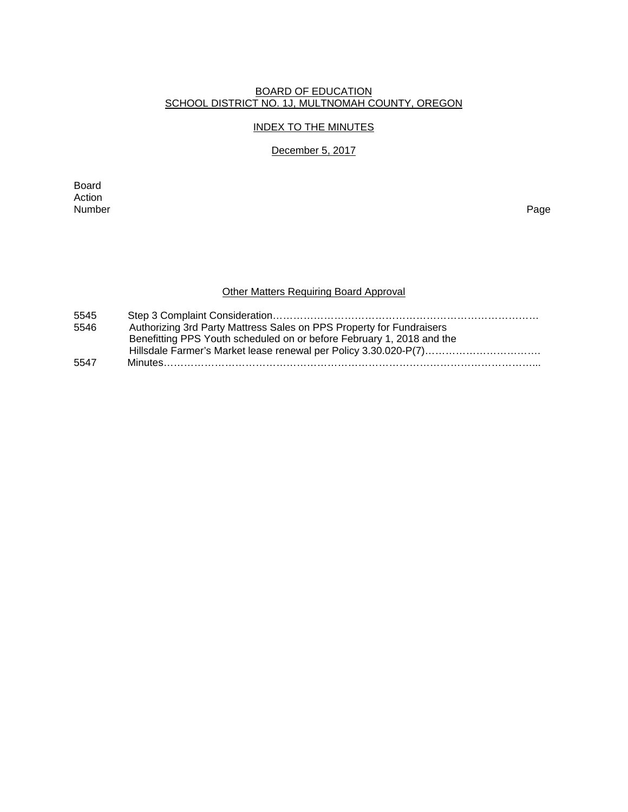#### BOARD OF EDUCATION SCHOOL DISTRICT NO. 1J, MULTNOMAH COUNTY, OREGON

#### INDEX TO THE MINUTES

## December 5, 2017

Board Action<br>Number Number Page

# Other Matters Requiring Board Approval

| 5545 |                                                                       |
|------|-----------------------------------------------------------------------|
| 5546 | Authorizing 3rd Party Mattress Sales on PPS Property for Fundraisers  |
|      | Benefitting PPS Youth scheduled on or before February 1, 2018 and the |
|      |                                                                       |
| 5547 |                                                                       |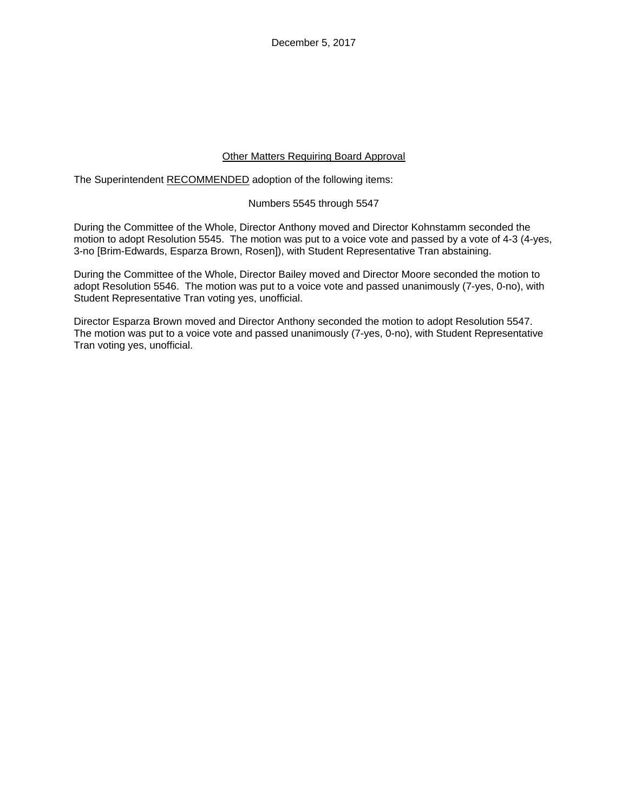December 5, 2017

## Other Matters Requiring Board Approval

The Superintendent RECOMMENDED adoption of the following items:

#### Numbers 5545 through 5547

During the Committee of the Whole, Director Anthony moved and Director Kohnstamm seconded the motion to adopt Resolution 5545. The motion was put to a voice vote and passed by a vote of 4-3 (4-yes, 3-no [Brim-Edwards, Esparza Brown, Rosen]), with Student Representative Tran abstaining.

During the Committee of the Whole, Director Bailey moved and Director Moore seconded the motion to adopt Resolution 5546. The motion was put to a voice vote and passed unanimously (7-yes, 0-no), with Student Representative Tran voting yes, unofficial.

Director Esparza Brown moved and Director Anthony seconded the motion to adopt Resolution 5547. The motion was put to a voice vote and passed unanimously (7-yes, 0-no), with Student Representative Tran voting yes, unofficial.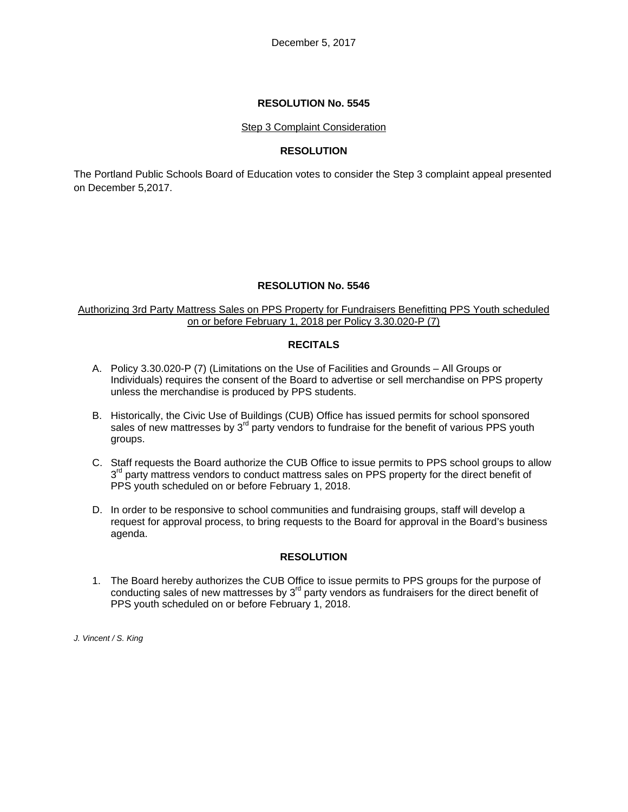## **RESOLUTION No. 5545**

#### Step 3 Complaint Consideration

## **RESOLUTION**

The Portland Public Schools Board of Education votes to consider the Step 3 complaint appeal presented on December 5,2017.

#### **RESOLUTION No. 5546**

#### Authorizing 3rd Party Mattress Sales on PPS Property for Fundraisers Benefitting PPS Youth scheduled on or before February 1, 2018 per Policy 3.30.020-P (7)

## **RECITALS**

- A. Policy 3.30.020-P (7) (Limitations on the Use of Facilities and Grounds All Groups or Individuals) requires the consent of the Board to advertise or sell merchandise on PPS property unless the merchandise is produced by PPS students.
- B. Historically, the Civic Use of Buildings (CUB) Office has issued permits for school sponsored sales of new mattresses by  $3<sup>rd</sup>$  party vendors to fundraise for the benefit of various PPS youth groups.
- C. Staff requests the Board authorize the CUB Office to issue permits to PPS school groups to allow  $3<sup>rd</sup>$  party mattress vendors to conduct mattress sales on PPS property for the direct benefit of PPS youth scheduled on or before February 1, 2018.
- D. In order to be responsive to school communities and fundraising groups, staff will develop a request for approval process, to bring requests to the Board for approval in the Board's business agenda.

#### **RESOLUTION**

1. The Board hereby authorizes the CUB Office to issue permits to PPS groups for the purpose of conducting sales of new mattresses by 3<sup>rd</sup> party vendors as fundraisers for the direct benefit of PPS youth scheduled on or before February 1, 2018.

*J. Vincent / S. King*